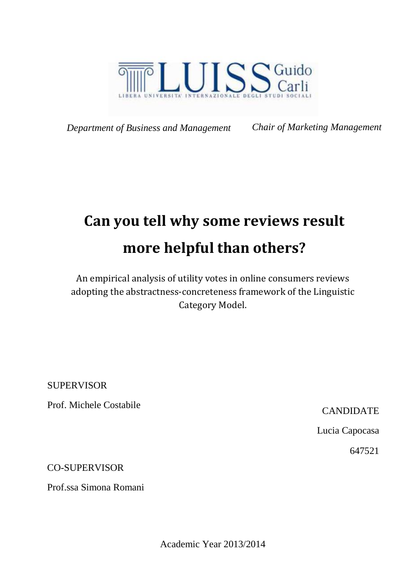

*Department of Business and Management Chair of Marketing Management*

# **Can you tell why some reviews result more helpful than others?**

An empirical analysis of utility votes in online consumers reviews adopting the abstractness-concreteness framework of the Linguistic Category Model.

SUPERVISOR

Prof. Michele Costabile Canadian CANDIDATE

Lucia Capocasa

647521

CO-SUPERVISOR

Prof.ssa Simona Romani

Academic Year 2013/2014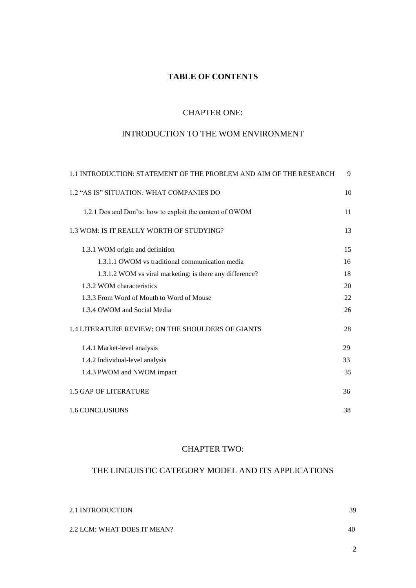# **TABLE OF CONTENTS**

#### CHAPTER ONE:

# INTRODUCTION TO THE WOM ENVIRONMENT

| 1.1 INTRODUCTION: STATEMENT OF THE PROBLEM AND AIM OF THE RESEARCH | 9  |
|--------------------------------------------------------------------|----|
| 1.2 "AS IS" SITUATION: WHAT COMPANIES DO                           | 10 |
| 1.2.1 Dos and Don'ts: how to exploit the content of OWOM           | 11 |
| 1.3 WOM: IS IT REALLY WORTH OF STUDYING?                           | 13 |
| 1.3.1 WOM origin and definition                                    | 15 |
| 1.3.1.1 OWOM vs traditional communication media                    | 16 |
| 1.3.1.2 WOM vs viral marketing: is there any difference?           | 18 |
| 1.3.2 WOM characteristics                                          | 20 |
| 1.3.3 From Word of Mouth to Word of Mouse                          | 22 |
| 1.3.4 OWOM and Social Media                                        | 26 |
| 1.4 LITERATURE REVIEW: ON THE SHOULDERS OF GIANTS                  | 28 |
| 1.4.1 Market-level analysis                                        | 29 |
| 1.4.2 Individual-level analysis                                    | 33 |
| 1.4.3 PWOM and NWOM impact                                         | 35 |
| <b>1.5 GAP OF LITERATURE</b>                                       | 36 |
| <b>1.6 CONCLUSIONS</b>                                             | 38 |

## CHAPTER TWO:

# THE LINGUISTIC CATEGORY MODEL AND ITS APPLICATIONS

| 2.1 INTRODUCTION            | 39 |
|-----------------------------|----|
| 2.2 LCM: WHAT DOES IT MEAN? | 40 |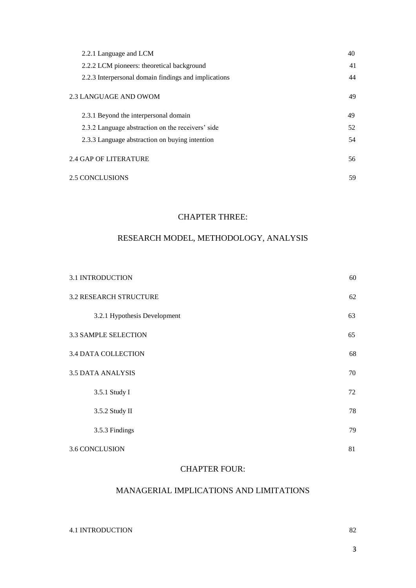| 2.2.1 Language and LCM                               | 40 |  |
|------------------------------------------------------|----|--|
| 2.2.2 LCM pioneers: theoretical background           | 41 |  |
| 2.2.3 Interpersonal domain findings and implications | 44 |  |
| 2.3 LANGUAGE AND OWOM                                | 49 |  |
| 2.3.1 Beyond the interpersonal domain                | 49 |  |
| 2.3.2 Language abstraction on the receivers' side    | 52 |  |
| 2.3.3 Language abstraction on buying intention       | 54 |  |
| 2.4 GAP OF LITERATURE                                | 56 |  |
| <b>2.5 CONCLUSIONS</b>                               | 59 |  |

#### CHAPTER THREE:

# RESEARCH MODEL, METHODOLOGY, ANALYSIS

| 3.1 INTRODUCTION              | 60 |
|-------------------------------|----|
| <b>3.2 RESEARCH STRUCTURE</b> | 62 |
| 3.2.1 Hypothesis Development  | 63 |
| 3.3 SAMPLE SELECTION          | 65 |
| <b>3.4 DATA COLLECTION</b>    | 68 |
| <b>3.5 DATA ANALYSIS</b>      | 70 |
| 3.5.1 Study I                 | 72 |
| 3.5.2 Study II                | 78 |
| 3.5.3 Findings                | 79 |
| <b>3.6 CONCLUSION</b>         | 81 |

#### CHAPTER FOUR:

## MANAGERIAL IMPLICATIONS AND LIMITATIONS

4.1 INTRODUCTION 82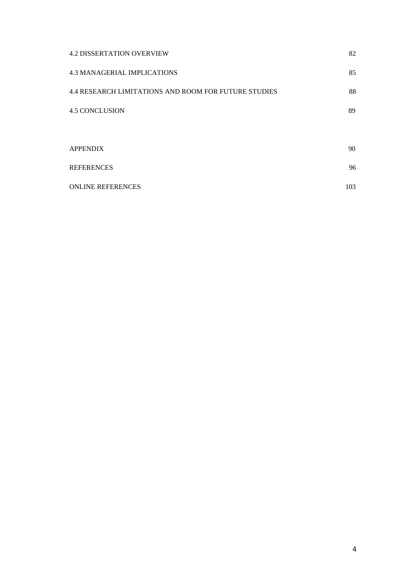| <b>4.2 DISSERTATION OVERVIEW</b>                            | 82  |
|-------------------------------------------------------------|-----|
| <b>4.3 MANAGERIAL IMPLICATIONS</b>                          | 85  |
| <b>4.4 RESEARCH LIMITATIONS AND ROOM FOR FUTURE STUDIES</b> | 88  |
| <b>4.5 CONCLUSION</b>                                       | 89  |
|                                                             |     |
| <b>APPENDIX</b>                                             | 90  |
| <b>REFERENCES</b>                                           | 96  |
| <b>ONLINE REFERENCES</b>                                    | 103 |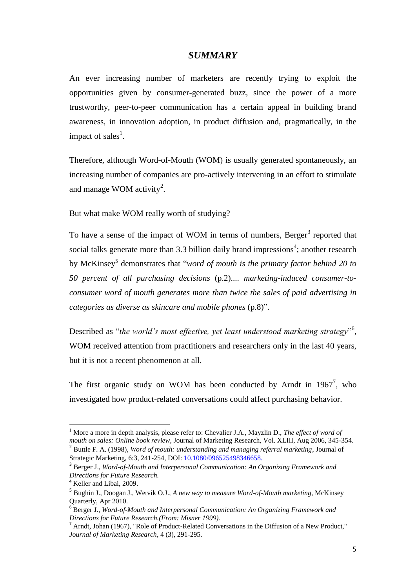## *SUMMARY*

An ever increasing number of marketers are recently trying to exploit the opportunities given by consumer-generated buzz, since the power of a more trustworthy, peer-to-peer communication has a certain appeal in building brand awareness, in innovation adoption, in product diffusion and, pragmatically, in the impact of sales<sup>1</sup>.

Therefore, although Word-of-Mouth (WOM) is usually generated spontaneously, an increasing number of companies are pro-actively intervening in an effort to stimulate and manage WOM activity<sup>2</sup>.

But what make WOM really worth of studying?

To have a sense of the impact of WOM in terms of numbers, Berger<sup>3</sup> reported that social talks generate more than 3.3 billion daily brand impressions<sup>4</sup>; another research by McKinsey<sup>5</sup> demonstrates that "*word of mouth is the primary factor behind 20 to 50 percent of all purchasing decisions* (p.2).... *marketing-induced consumer-toconsumer word of mouth generates more than twice the sales of paid advertising in categories as diverse as skincare and mobile phones* (p.8)".

Described as "the world's most effective, yet least understood marketing strategy"<sup>6</sup>, WOM received attention from practitioners and researchers only in the last 40 years, but it is not a recent phenomenon at all.

The first organic study on WOM has been conducted by Arndt in  $1967^7$ , who investigated how product-related conversations could affect purchasing behavior.

 $\overline{a}$ 

<sup>1</sup> More a more in depth analysis, please refer to: Chevalier J.A., Mayzlin D., *The effect of word of mouth on sales: Online book review*, Journal of Marketing Research, Vol. XLIII, Aug 2006, 345-354. 2 Buttle F. A. (1998), *Word of mouth: understanding and managing referral marketing*, Journal of Strategic Marketing, 6:3, 241-254, DOI: 10.1080/096525498346658.

<sup>3</sup> Berger J., *Word-of-Mouth and Interpersonal Communication: An Organizing Framework and Directions for Future Research.*

<sup>&</sup>lt;sup>4</sup> Keller and Libai, 2009.

<sup>5</sup> Bughin J., Doogan J., Wetvik O.J., *A new way to measure Word-of-Mouth marketing*, McKinsey Quarterly, Apr 2010.

<sup>6</sup> Berger J., *Word-of-Mouth and Interpersonal Communication: An Organizing Framework and Directions for Future Research.(From: Misner 1999).*

 $<sup>7</sup>$  Arndt, Johan (1967), "Role of Product-Related Conversations in the Diffusion of a New Product."</sup> *Journal of Marketing Research*, 4 (3), 291-295.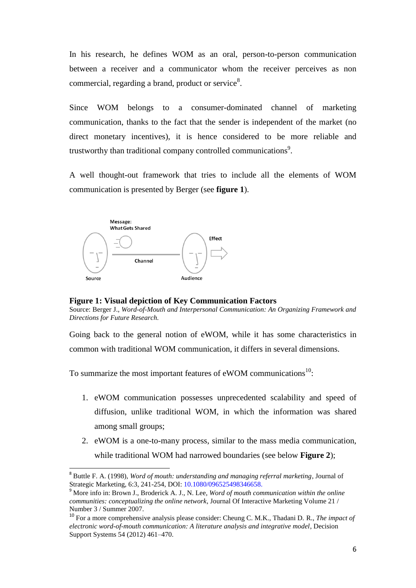In his research, he defines WOM as an oral, person-to-person communication between a receiver and a communicator whom the receiver perceives as non commercial, regarding a brand, product or service $8$ .

Since WOM belongs to a consumer-dominated channel of marketing communication, thanks to the fact that the sender is independent of the market (no direct monetary incentives), it is hence considered to be more reliable and trustworthy than traditional company controlled communications<sup>9</sup>.

A well thought-out framework that tries to include all the elements of WOM communication is presented by Berger (see **figure 1**).



 $\overline{a}$ 

**Figure 1: Visual depiction of Key Communication Factors**

Source: Berger J., *Word-of-Mouth and Interpersonal Communication: An Organizing Framework and Directions for Future Research.*

Going back to the general notion of eWOM, while it has some characteristics in common with traditional WOM communication, it differs in several dimensions.

To summarize the most important features of eWOM communications<sup>10</sup>:

- 1. eWOM communication possesses unprecedented scalability and speed of diffusion, unlike traditional WOM, in which the information was shared among small groups;
- 2. eWOM is a one-to-many process, similar to the mass media communication, while traditional WOM had narrowed boundaries (see below **Figure 2**);

<sup>8</sup> Buttle F. A. (1998), *Word of mouth: understanding and managing referral marketing*, Journal of Strategic Marketing, 6:3, 241-254, DOI: 10.1080/096525498346658.

<sup>9</sup> More info in: Brown J., Broderick A. J., N. Lee, *Word of mouth communication within the online communities: conceptualizing the online network*, Journal Of Interactive Marketing Volume 21 / Number 3 / Summer 2007.

<sup>10</sup> For a more comprehensive analysis please consider: Cheung C. M.K., Thadani D. R., *The impact of electronic word-of-mouth communication: A literature analysis and integrative model*, Decision Support Systems 54 (2012) 461–470.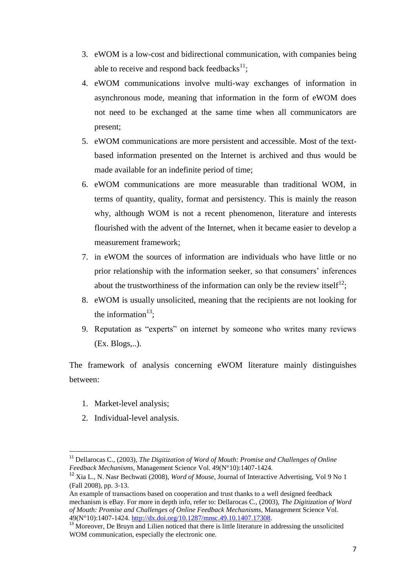- 3. eWOM is a low-cost and bidirectional communication, with companies being able to receive and respond back feedbacks $^{11}$ ;
- 4. eWOM communications involve multi-way exchanges of information in asynchronous mode, meaning that information in the form of eWOM does not need to be exchanged at the same time when all communicators are present;
- 5. eWOM communications are more persistent and accessible. Most of the textbased information presented on the Internet is archived and thus would be made available for an indefinite period of time;
- 6. eWOM communications are more measurable than traditional WOM, in terms of quantity, quality, format and persistency. This is mainly the reason why, although WOM is not a recent phenomenon, literature and interests flourished with the advent of the Internet, when it became easier to develop a measurement framework;
- 7. in eWOM the sources of information are individuals who have little or no prior relationship with the information seeker, so that consumers' inferences about the trustworthiness of the information can only be the review itself<sup>12</sup>;
- 8. eWOM is usually unsolicited, meaning that the recipients are not looking for the information<sup>13</sup>;
- 9. Reputation as "experts" on internet by someone who writes many reviews (Ex. Blogs,..).

The framework of analysis concerning eWOM literature mainly distinguishes between:

1. Market-level analysis;

 $\overline{a}$ 

2. Individual-level analysis.

<sup>&</sup>lt;sup>11</sup> Dellarocas C., (2003), *The Digitization of Word of Mouth: Promise and Challenges of Online Feedback Mechanisms*, Management Science Vol. 49(N°10):1407-1424.

<sup>12</sup> Xia L., N. Nasr Bechwati (2008), *Word of Mouse*, Journal of Interactive Advertising, Vol 9 No 1 (Fall 2008), pp. 3‐13.

An example of transactions based on cooperation and trust thanks to a well designed feedback mechanism is eBay. For more in depth info, refer to: Dellarocas C., (2003), *The Digitization of Word of Mouth: Promise and Challenges of Online Feedback Mechanisms*, Management Science Vol. 49(N°10):1407-1424. [http://dx.doi.org/10.1287/mnsc.49.10.1407.17308.](http://dx.doi.org/10.1287/mnsc.49.10.1407.17308)

<sup>&</sup>lt;sup>13</sup> Moreover, De Bruyn and Lilien noticed that there is little literature in addressing the unsolicited WOM communication, especially the electronic one.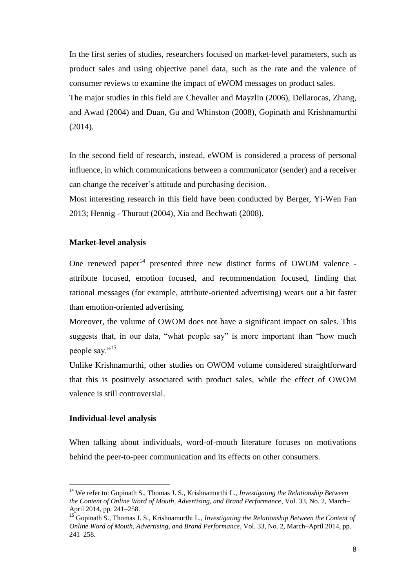In the first series of studies, researchers focused on market-level parameters, such as product sales and using objective panel data, such as the rate and the valence of consumer reviews to examine the impact of eWOM messages on product sales. The major studies in this field are Chevalier and Mayzlin (2006), Dellarocas, Zhang, and Awad (2004) and Duan, Gu and Whinston (2008), Gopinath and Krishnamurthi (2014).

In the second field of research, instead, eWOM is considered a process of personal influence, in which communications between a communicator (sender) and a receiver can change the receiver's attitude and purchasing decision.

Most interesting research in this field have been conducted by Berger, Yi-Wen Fan 2013; Hennig - Thuraut (2004), Xia and Bechwati (2008).

#### **Market-level analysis**

One renewed paper $14$  presented three new distinct forms of OWOM valence attribute focused, emotion focused, and recommendation focused, finding that rational messages (for example, attribute-oriented advertising) wears out a bit faster than emotion-oriented advertising.

Moreover, the volume of OWOM does not have a significant impact on sales. This suggests that, in our data, "what people say" is more important than "how much people say."<sup>15</sup>

Unlike Krishnamurthi, other studies on OWOM volume considered straightforward that this is positively associated with product sales, while the effect of OWOM valence is still controversial.

#### **Individual-level analysis**

 $\overline{a}$ 

When talking about individuals, word-of-mouth literature focuses on motivations behind the peer-to-peer communication and its effects on other consumers.

<sup>14</sup> We refer to: Gopinath S., Thomas J. S., Krishnamurthi L., *Investigating the Relationship Between the Content of Online Word of Mouth, Advertising, and Brand Performance*, Vol. 33, No. 2, March– April 2014, pp. 241–258.

<sup>15</sup> Gopinath S., Thomas J. S., Krishnamurthi L., *Investigating the Relationship Between the Content of Online Word of Mouth, Advertising, and Brand Performance*, Vol. 33, No. 2, March–April 2014, pp. 241–258.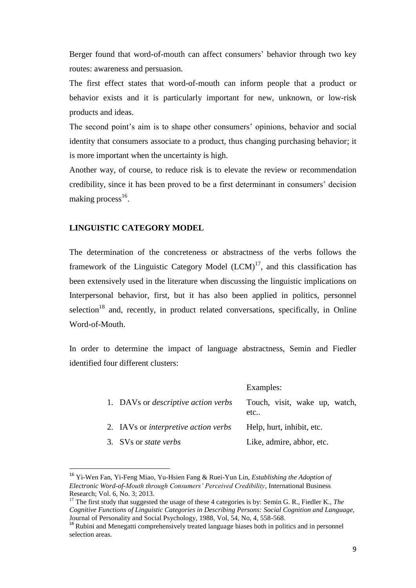Berger found that word-of-mouth can affect consumers' behavior through two key routes: awareness and persuasion.

The first effect states that word-of-mouth can inform people that a product or behavior exists and it is particularly important for new, unknown, or low-risk products and ideas.

The second point's aim is to shape other consumers' opinions, behavior and social identity that consumers associate to a product, thus changing purchasing behavior; it is more important when the uncertainty is high.

Another way, of course, to reduce risk is to elevate the review or recommendation credibility, since it has been proved to be a first determinant in consumers' decision making process<sup>16</sup>.

## **LINGUISTIC CATEGORY MODEL**

 $\overline{a}$ 

The determination of the concreteness or abstractness of the verbs follows the framework of the Linguistic Category Model  $(LCM)^{17}$ , and this classification has been extensively used in the literature when discussing the linguistic implications on Interpersonal behavior, first, but it has also been applied in politics, personnel selection<sup>18</sup> and, recently, in product related conversations, specifically, in Online Word-of-Mouth.

In order to determine the impact of language abstractness, Semin and Fiedler identified four different clusters:

|                                             | Examples:                            |
|---------------------------------------------|--------------------------------------|
| 1. DAVs or <i>descriptive action verbs</i>  | Touch, visit, wake up, watch,<br>etc |
| 2. IAVs or <i>interpretive action verbs</i> | Help, hurt, inhibit, etc.            |
| 3. SVs or <i>state verbs</i>                | Like, admire, abhor, etc.            |

<sup>16</sup> Yi-Wen Fan, Yi-Feng Miao, Yu-Hsien Fang & Ruei-Yun Lin, *Establishing the Adoption of Electronic Word-of-Mouth through Consumers' Perceived Credibility*, International Business Research; Vol. 6, No. 3; 2013.

<sup>&</sup>lt;sup>17</sup> The first study that suggested the usage of these 4 categories is by: Semin G. R., Fiedler K., *The Cognitive Functions of Linguistic Categories in Describing Persons: Social Cognition and Language,*  Journal of Personality and Social Psychology, 1988, Vol, 54, No, 4, 558-568.

<sup>&</sup>lt;sup>18</sup> Rubini and Menegatti comprehensively treated language biases both in politics and in personnel selection areas.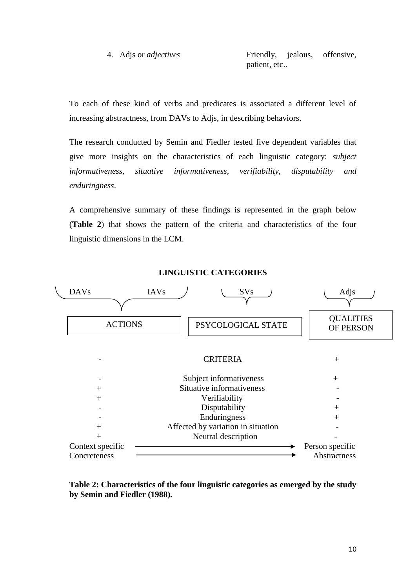4. Adjs or *adjectives* Friendly, jealous, offensive, patient, etc..

To each of these kind of verbs and predicates is associated a different level of increasing abstractness, from DAVs to Adjs, in describing behaviors.

The research conducted by Semin and Fiedler tested five dependent variables that give more insights on the characteristics of each linguistic category: *subject informativeness, situative informativeness, verifiability, disputability and enduringness*.

A comprehensive summary of these findings is represented in the graph below (**Table 2**) that shows the pattern of the criteria and characteristics of the four linguistic dimensions in the LCM.



**LINGUISTIC CATEGORIES**

**Table 2: Characteristics of the four linguistic categories as emerged by the study by Semin and Fiedler (1988).**

10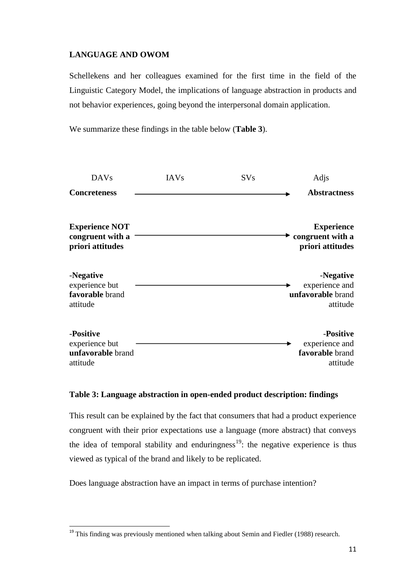# **LANGUAGE AND OWOM**

Schellekens and her colleagues examined for the first time in the field of the Linguistic Category Model, the implications of language abstraction in products and not behavior experiences, going beyond the interpersonal domain application.

We summarize these findings in the table below (**Table 3**).

| <b>DAVs</b>                                                   | <b>IAVs</b> | <b>SVs</b> | Adjs                                                         |
|---------------------------------------------------------------|-------------|------------|--------------------------------------------------------------|
| <b>Concreteness</b>                                           |             |            | <b>Abstractness</b>                                          |
| <b>Experience NOT</b><br>congruent with a<br>priori attitudes |             |            | <b>Experience</b><br>congruent with a<br>priori attitudes    |
| -Negative<br>experience but<br>favorable brand<br>attitude    |             |            | -Negative<br>experience and<br>unfavorable brand<br>attitude |
| -Positive<br>experience but<br>unfavorable brand<br>attitude  |             |            | -Positive<br>experience and<br>favorable brand<br>attitude   |

#### **Table 3: Language abstraction in open-ended product description: findings**

This result can be explained by the fact that consumers that had a product experience congruent with their prior expectations use a language (more abstract) that conveys the idea of temporal stability and enduringness<sup>19</sup>: the negative experience is thus viewed as typical of the brand and likely to be replicated.

Does language abstraction have an impact in terms of purchase intention?

 $\overline{a}$ 

 $19$  This finding was previously mentioned when talking about Semin and Fiedler (1988) research.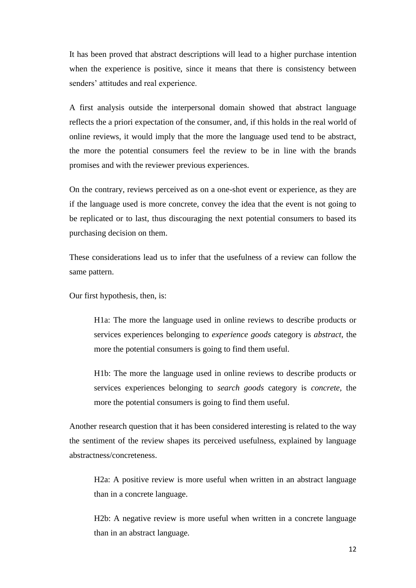It has been proved that abstract descriptions will lead to a higher purchase intention when the experience is positive, since it means that there is consistency between senders' attitudes and real experience.

A first analysis outside the interpersonal domain showed that abstract language reflects the a priori expectation of the consumer, and, if this holds in the real world of online reviews, it would imply that the more the language used tend to be abstract, the more the potential consumers feel the review to be in line with the brands promises and with the reviewer previous experiences.

On the contrary, reviews perceived as on a one-shot event or experience, as they are if the language used is more concrete, convey the idea that the event is not going to be replicated or to last, thus discouraging the next potential consumers to based its purchasing decision on them.

These considerations lead us to infer that the usefulness of a review can follow the same pattern.

Our first hypothesis, then, is:

H1a: The more the language used in online reviews to describe products or services experiences belonging to *experience goods* category is *abstract*, the more the potential consumers is going to find them useful.

H1b: The more the language used in online reviews to describe products or services experiences belonging to *search goods* category is *concrete,* the more the potential consumers is going to find them useful.

Another research question that it has been considered interesting is related to the way the sentiment of the review shapes its perceived usefulness, explained by language abstractness/concreteness.

H2a: A positive review is more useful when written in an abstract language than in a concrete language.

H2b: A negative review is more useful when written in a concrete language than in an abstract language.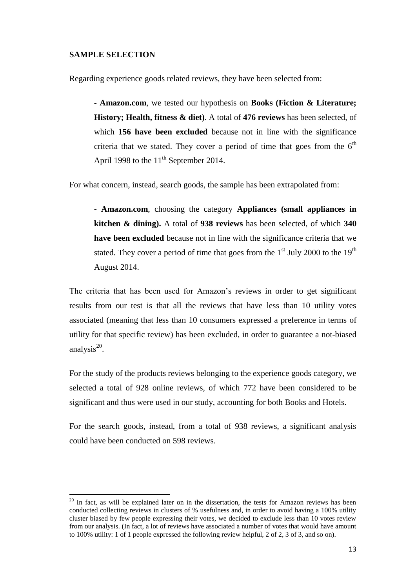#### **SAMPLE SELECTION**

 $\overline{a}$ 

Regarding experience goods related reviews, they have been selected from:

**- Amazon.com**, we tested our hypothesis on **Books (Fiction & Literature; History; Health, fitness & diet)**. A total of **476 reviews** has been selected, of which **156 have been excluded** because not in line with the significance criteria that we stated. They cover a period of time that goes from the  $6<sup>th</sup>$ April 1998 to the  $11<sup>th</sup>$  September 2014.

For what concern, instead, search goods, the sample has been extrapolated from:

**- Amazon.com**, choosing the category **Appliances (small appliances in kitchen & dining).** A total of **938 reviews** has been selected, of which **340 have been excluded** because not in line with the significance criteria that we stated. They cover a period of time that goes from the  $1<sup>st</sup>$  July 2000 to the  $19<sup>th</sup>$ August 2014.

The criteria that has been used for Amazon's reviews in order to get significant results from our test is that all the reviews that have less than 10 utility votes associated (meaning that less than 10 consumers expressed a preference in terms of utility for that specific review) has been excluded, in order to guarantee a not-biased analysis $^{20}$ .

For the study of the products reviews belonging to the experience goods category, we selected a total of 928 online reviews, of which 772 have been considered to be significant and thus were used in our study, accounting for both Books and Hotels.

For the search goods, instead, from a total of 938 reviews, a significant analysis could have been conducted on 598 reviews.

 $20$  In fact, as will be explained later on in the dissertation, the tests for Amazon reviews has been conducted collecting reviews in clusters of % usefulness and, in order to avoid having a 100% utility cluster biased by few people expressing their votes, we decided to exclude less than 10 votes review from our analysis. (In fact, a lot of reviews have associated a number of votes that would have amount to 100% utility: 1 of 1 people expressed the following review helpful, 2 of 2, 3 of 3, and so on).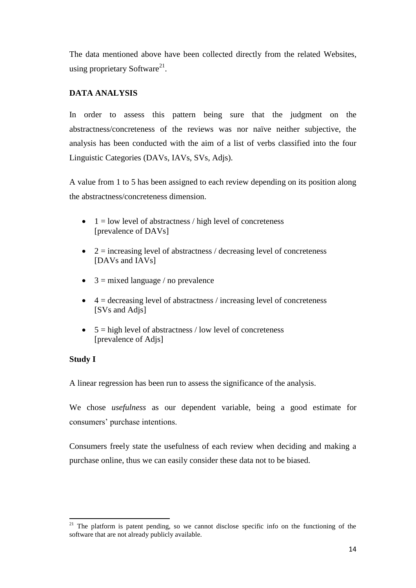The data mentioned above have been collected directly from the related Websites, using proprietary Software<sup>21</sup>.

# **DATA ANALYSIS**

In order to assess this pattern being sure that the judgment on the abstractness/concreteness of the reviews was nor naïve neither subjective, the analysis has been conducted with the aim of a list of verbs classified into the four Linguistic Categories (DAVs, IAVs, SVs, Adjs).

A value from 1 to 5 has been assigned to each review depending on its position along the abstractness/concreteness dimension.

- $\bullet$  1 = low level of abstractness / high level of concreteness [prevalence of DAVs]
- $\bullet$  2 = increasing level of abstractness / decreasing level of concreteness [DAVs and IAVs]
- $\bullet$  3 = mixed language / no prevalence
- $\bullet$  4 = decreasing level of abstractness / increasing level of concreteness [SVs and Adjs]
- $\bullet$  5 = high level of abstractness / low level of concreteness [prevalence of Adjs]

## **Study I**

 $\overline{a}$ 

A linear regression has been run to assess the significance of the analysis.

We chose *usefulness* as our dependent variable, being a good estimate for consumers' purchase intentions.

Consumers freely state the usefulness of each review when deciding and making a purchase online, thus we can easily consider these data not to be biased.

<sup>&</sup>lt;sup>21</sup> The platform is patent pending, so we cannot disclose specific info on the functioning of the software that are not already publicly available.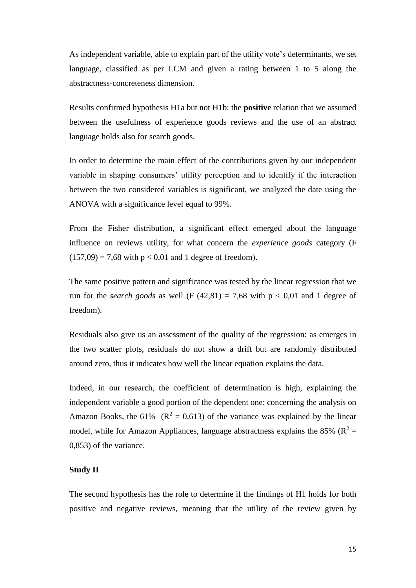As independent variable, able to explain part of the utility vote's determinants, we set language, classified as per LCM and given a rating between 1 to 5 along the abstractness-concreteness dimension.

Results confirmed hypothesis H1a but not H1b: the **positive** relation that we assumed between the usefulness of experience goods reviews and the use of an abstract language holds also for search goods.

In order to determine the main effect of the contributions given by our independent variable in shaping consumers' utility perception and to identify if the interaction between the two considered variables is significant, we analyzed the date using the ANOVA with a significance level equal to 99%.

From the Fisher distribution, a significant effect emerged about the language influence on reviews utility, for what concern the *experience goods* category (F  $(157,09) = 7,68$  with  $p < 0.01$  and 1 degree of freedom).

The same positive pattern and significance was tested by the linear regression that we run for the *search goods* as well (F  $(42.81) = 7.68$  with  $p < 0.01$  and 1 degree of freedom).

Residuals also give us an assessment of the quality of the regression: as emerges in the two scatter plots, residuals do not show a drift but are randomly distributed around zero, thus it indicates how well the linear equation explains the data.

Indeed, in our research, the coefficient of determination is high, explaining the independent variable a good portion of the dependent one: concerning the analysis on Amazon Books, the 61% ( $R^2 = 0.613$ ) of the variance was explained by the linear model, while for Amazon Appliances, language abstractness explains the 85% ( $\mathbb{R}^2$  = 0,853) of the variance.

#### **Study II**

The second hypothesis has the role to determine if the findings of H1 holds for both positive and negative reviews, meaning that the utility of the review given by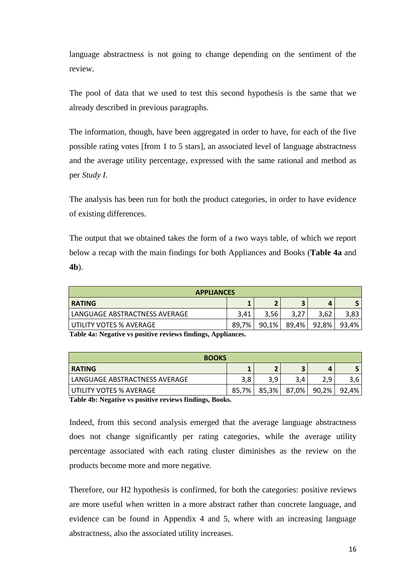language abstractness is not going to change depending on the sentiment of the review.

The pool of data that we used to test this second hypothesis is the same that we already described in previous paragraphs.

The information, though, have been aggregated in order to have, for each of the five possible rating votes [from 1 to 5 stars], an associated level of language abstractness and the average utility percentage, expressed with the same rational and method as per *Study I*.

The analysis has been run for both the product categories, in order to have evidence of existing differences.

The output that we obtained takes the form of a two ways table, of which we report below a recap with the main findings for both Appliances and Books (**Table 4a** and **4b**).

| <b>APPLIANCES</b>             |       |       |       |       |       |
|-------------------------------|-------|-------|-------|-------|-------|
| <b>RATING</b>                 |       |       |       |       |       |
| LANGUAGE ABSTRACTNESS AVERAGE | 3.41  | 3.56  | 3.27  | 3.62  | 3,83  |
| l UTILITY VOTES % AVERAGE     | 89.7% | 90,1% | 89,4% | 92,8% | 93,4% |

**Table 4a: Negative vs positive reviews findings, Appliances.**

| <b>BOOKS</b>                  |       |       |       |       |       |
|-------------------------------|-------|-------|-------|-------|-------|
| <b>RATING</b>                 |       |       |       | L     |       |
| LANGUAGE ABSTRACTNESS AVERAGE | 3.8   | 3,9   | 3,4   | 2,9   | 3,6   |
| l UTILITY VOTES % AVERAGE     | 85.7% | 85,3% | 87,0% | 90,2% | 92,4% |

**Table 4b: Negative vs positive reviews findings, Books.**

Indeed, from this second analysis emerged that the average language abstractness does not change significantly per rating categories, while the average utility percentage associated with each rating cluster diminishes as the review on the products become more and more negative.

Therefore, our H2 hypothesis is confirmed, for both the categories: positive reviews are more useful when written in a more abstract rather than concrete language, and evidence can be found in Appendix 4 and 5, where with an increasing language abstractness, also the associated utility increases.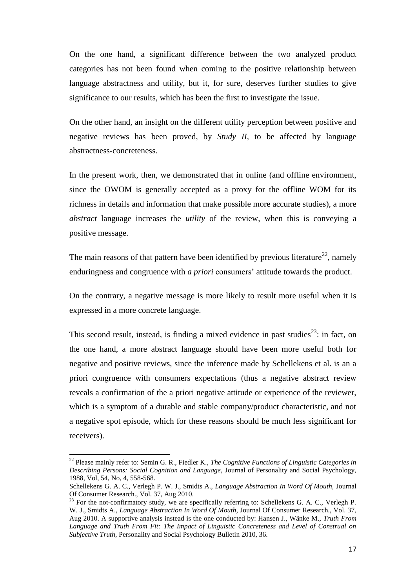On the one hand, a significant difference between the two analyzed product categories has not been found when coming to the positive relationship between language abstractness and utility, but it, for sure, deserves further studies to give significance to our results, which has been the first to investigate the issue.

On the other hand, an insight on the different utility perception between positive and negative reviews has been proved, by *Study II,* to be affected by language abstractness-concreteness.

In the present work, then, we demonstrated that in online (and offline environment, since the OWOM is generally accepted as a proxy for the offline WOM for its richness in details and information that make possible more accurate studies), a more *abstract* language increases the *utility* of the review, when this is conveying a positive message.

The main reasons of that pattern have been identified by previous literature<sup>22</sup>, namely enduringness and congruence with *a priori* consumers' attitude towards the product.

On the contrary, a negative message is more likely to result more useful when it is expressed in a more concrete language.

This second result, instead, is finding a mixed evidence in past studies<sup>23</sup>: in fact, on the one hand, a more abstract language should have been more useful both for negative and positive reviews, since the inference made by Schellekens et al. is an a priori congruence with consumers expectations (thus a negative abstract review reveals a confirmation of the a priori negative attitude or experience of the reviewer, which is a symptom of a durable and stable company/product characteristic, and not a negative spot episode, which for these reasons should be much less significant for receivers).

 $\overline{a}$ 

<sup>22</sup> Please mainly refer to: Semin G. R., Fiedler K., *The Cognitive Functions of Linguistic Categories in Describing Persons: Social Cognition and Language,* Journal of Personality and Social Psychology, 1988, Vol, 54, No, 4, 558-568.

Schellekens G. A. C., Verlegh P. W. J., Smidts A., *Language Abstraction In Word Of Mouth,* Journal Of Consumer Research., Vol. 37, Aug 2010.

<sup>&</sup>lt;sup>23</sup> For the not-confirmatory study, we are specifically referring to: Schellekens G. A. C., Verlegh P. W. J., Smidts A., *Language Abstraction In Word Of Mouth,* Journal Of Consumer Research., Vol. 37, Aug 2010. A supportive analysis instead is the one conducted by: Hansen J., Wänke M., *Truth From Language and Truth From Fit: The Impact of Linguistic Concreteness and Level of Construal on Subjective Truth*, Personality and Social Psychology Bulletin 2010, 36.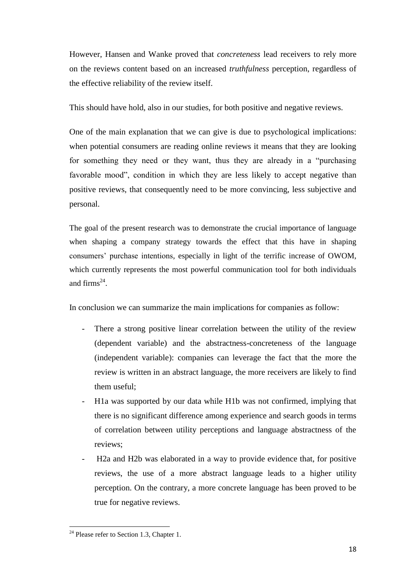However, Hansen and Wanke proved that *concreteness* lead receivers to rely more on the reviews content based on an increased *truthfulness* perception, regardless of the effective reliability of the review itself.

This should have hold, also in our studies, for both positive and negative reviews.

One of the main explanation that we can give is due to psychological implications: when potential consumers are reading online reviews it means that they are looking for something they need or they want, thus they are already in a "purchasing favorable mood", condition in which they are less likely to accept negative than positive reviews, that consequently need to be more convincing, less subjective and personal.

The goal of the present research was to demonstrate the crucial importance of language when shaping a company strategy towards the effect that this have in shaping consumers' purchase intentions, especially in light of the terrific increase of OWOM, which currently represents the most powerful communication tool for both individuals and firms $^{24}$ .

In conclusion we can summarize the main implications for companies as follow:

- There a strong positive linear correlation between the utility of the review (dependent variable) and the abstractness-concreteness of the language (independent variable): companies can leverage the fact that the more the review is written in an abstract language, the more receivers are likely to find them useful;
- H1a was supported by our data while H1b was not confirmed, implying that there is no significant difference among experience and search goods in terms of correlation between utility perceptions and language abstractness of the reviews;
- H2a and H2b was elaborated in a way to provide evidence that, for positive reviews, the use of a more abstract language leads to a higher utility perception. On the contrary, a more concrete language has been proved to be true for negative reviews.

 $\overline{a}$  $24$  Please refer to Section 1.3, Chapter 1.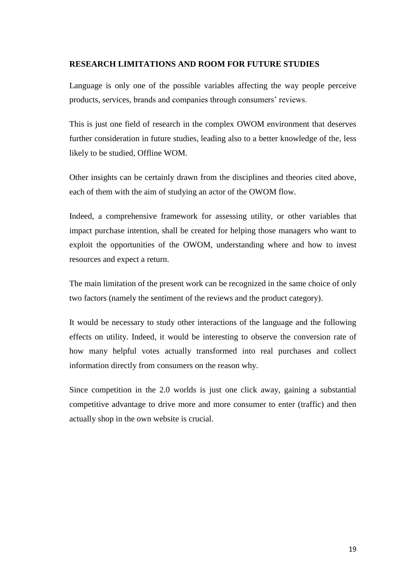#### **RESEARCH LIMITATIONS AND ROOM FOR FUTURE STUDIES**

Language is only one of the possible variables affecting the way people perceive products, services, brands and companies through consumers' reviews.

This is just one field of research in the complex OWOM environment that deserves further consideration in future studies, leading also to a better knowledge of the, less likely to be studied, Offline WOM.

Other insights can be certainly drawn from the disciplines and theories cited above, each of them with the aim of studying an actor of the OWOM flow.

Indeed, a comprehensive framework for assessing utility, or other variables that impact purchase intention, shall be created for helping those managers who want to exploit the opportunities of the OWOM, understanding where and how to invest resources and expect a return.

The main limitation of the present work can be recognized in the same choice of only two factors (namely the sentiment of the reviews and the product category).

It would be necessary to study other interactions of the language and the following effects on utility. Indeed, it would be interesting to observe the conversion rate of how many helpful votes actually transformed into real purchases and collect information directly from consumers on the reason why.

Since competition in the 2.0 worlds is just one click away, gaining a substantial competitive advantage to drive more and more consumer to enter (traffic) and then actually shop in the own website is crucial.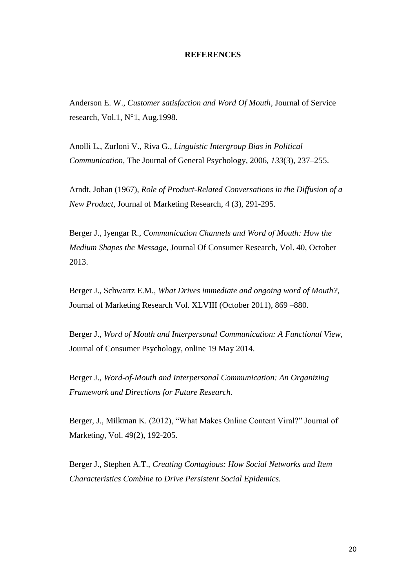#### **REFERENCES**

Anderson E. W., *Customer satisfaction and Word Of Mouth,* Journal of Service research, Vol.1, N°1, Aug.1998.

Anolli L., Zurloni V., Riva G., *Linguistic Intergroup Bias in Political Communication*, The Journal of General Psychology*,* 2006, *133*(3), 237–255.

Arndt, Johan (1967), *Role of Product-Related Conversations in the Diffusion of a New Product*, Journal of Marketing Research, 4 (3), 291-295.

Berger J., Iyengar R., *Communication Channels and Word of Mouth: How the Medium Shapes the Message*, Journal Of Consumer Research, Vol. 40, October 2013.

Berger J., Schwartz E.M., *What Drives immediate and ongoing word of Mouth?,* Journal of Marketing Research Vol. XLVIII (October 2011), 869 –880.

Berger J., *Word of Mouth and Interpersonal Communication: A Functional View,* [Journal of Consumer Psychology,](http://www.sciencedirect.com/science/journal/10577408) online 19 May 2014.

Berger J., *Word-of-Mouth and Interpersonal Communication: An Organizing Framework and Directions for Future Research.*

Berger, J., Milkman K. (2012), "What Makes Online Content Viral?" Journal of Marketin*g,* Vol. 49(2), 192-205.

Berger J., Stephen A.T., *Creating Contagious: How Social Networks and Item Characteristics Combine to Drive Persistent Social Epidemics.*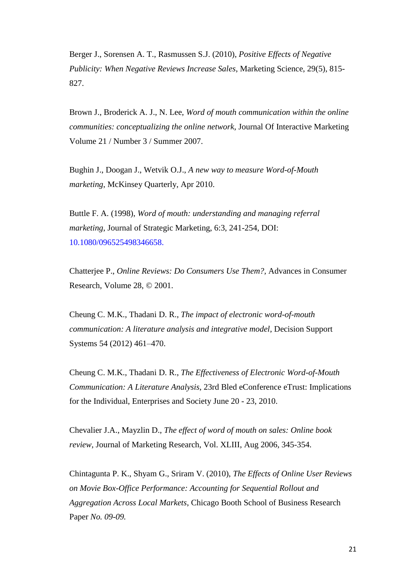Berger J., Sorensen A. T., Rasmussen S.J. (2010), *[Positive Effects of Negative](https://marketing.wharton.upenn.edu/files/?whdmsaction=public:main.file&fileID=897)  [Publicity: When Negative Reviews Increase Sales](https://marketing.wharton.upenn.edu/files/?whdmsaction=public:main.file&fileID=897)*, Marketing Science, 29(5), 815- 827.

Brown J., Broderick A. J., N. Lee, *Word of mouth communication within the online communities: conceptualizing the online network*, Journal Of Interactive Marketing Volume 21 / Number 3 / Summer 2007.

Bughin J., Doogan J., Wetvik O.J., *A new way to measure Word-of-Mouth marketing*, McKinsey Quarterly, Apr 2010.

Buttle F. A. (1998), *Word of mouth: understanding and managing referral marketing*, Journal of Strategic Marketing, 6:3, 241-254, DOI: 10.1080/096525498346658.

Chatterjee P., *Online Reviews: Do Consumers Use Them?,* Advances in Consumer Research, Volume 28, © 2001.

Cheung C. M.K., Thadani D. R., *The impact of electronic word-of-mouth communication: A literature analysis and integrative model*, Decision Support Systems 54 (2012) 461–470.

Cheung C. M.K., Thadani D. R., *The Effectiveness of Electronic Word-of-Mouth Communication: A Literature Analysis*, 23rd Bled eConference eTrust: Implications for the Individual, Enterprises and Society June 20 - 23, 2010.

Chevalier J.A., Mayzlin D., *The effect of word of mouth on sales: Online book review*, Journal of Marketing Research, Vol. XLIII, Aug 2006, 345-354.

Chintagunta P. K., Shyam G., Sriram V. (2010), *The Effects of Online User Reviews on Movie Box-Office Performance: Accounting for Sequential Rollout and Aggregation Across Local Markets*, Chicago Booth School of Business Research Paper *No. 09-09.*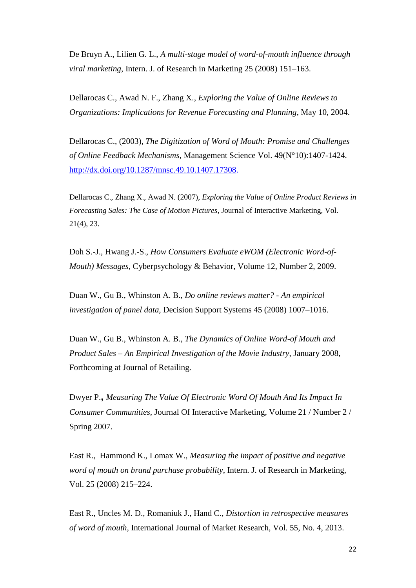De Bruyn A., Lilien G. L., *A multi-stage model of word-of-mouth influence through viral marketing*, Intern. J. of Research in Marketing 25 (2008) 151–163.

Dellarocas C., Awad N. F., Zhang X., *Exploring the Value of Online Reviews to Organizations: Implications for Revenue Forecasting and Planning*, May 10, 2004.

Dellarocas C., (2003), *The Digitization of Word of Mouth: Promise and Challenges of Online Feedback Mechanisms*, Management Science Vol. 49(N°10):1407-1424. [http://dx.doi.org/10.1287/mnsc.49.10.1407.17308.](http://dx.doi.org/10.1287/mnsc.49.10.1407.17308)

Dellarocas C., Zhang X., Awad N. (2007), *Exploring the Value of Online Product Reviews in Forecasting Sales: The Case of Motion Pictures*, Journal of Interactive Marketing, Vol. 21(4), 23.

Doh S.-J., Hwang J.-S., *How Consumers Evaluate eWOM (Electronic Word-of-Mouth) Messages*, Cyberpsychology & Behavior, Volume 12, Number 2, 2009.

Duan W., Gu B., Whinston A. B., *Do online reviews matter? - An empirical investigation of panel data,* Decision Support Systems 45 (2008) 1007–1016.

Duan W., Gu B., Whinston A. B., *The Dynamics of Online Word-of Mouth and Product Sales – An Empirical Investigation of the Movie Industry*, January 2008, Forthcoming at Journal of Retailing*.*

Dwyer P.**,** *Measuring The Value Of Electronic Word Of Mouth And Its Impact In Consumer Communities,* Journal Of Interactive Marketing, Volume 21 / Number 2 / Spring 2007.

East R., Hammond K., Lomax W., *Measuring the impact of positive and negative word of mouth on brand purchase probability*, Intern. J. of Research in Marketing, Vol. 25 (2008) 215–224.

East R., Uncles M. D., Romaniuk J., Hand C., *Distortion in retrospective measures of word of mouth,* International Journal of Market Research, Vol. 55, No. 4, 2013.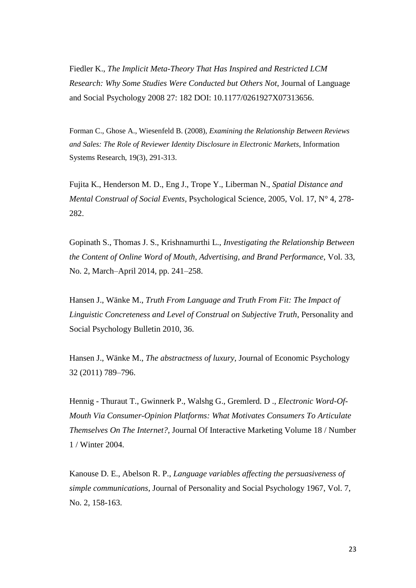Fiedler K., *The Implicit Meta-Theory That Has Inspired and Restricted LCM Research: Why Some Studies Were Conducted but Others Not*, Journal of Language and Social Psychology 2008 27: 182 DOI: 10.1177/0261927X07313656.

Forman C., Ghose A., Wiesenfeld B. (2008), *Examining the Relationship Between Reviews and Sales: The Role of Reviewer Identity Disclosure in Electronic Markets*, Information Systems Research, 19(3), 291-313.

Fujita K., Henderson M. D., Eng J., Trope Y., Liberman N., *Spatial Distance and Mental Construal of Social Events,* Psychological Science, 2005, Vol. 17, N° 4, 278- 282.

Gopinath S., Thomas J. S., Krishnamurthi L., *Investigating the Relationship Between the Content of Online Word of Mouth, Advertising, and Brand Performance*, Vol. 33, No. 2, March–April 2014, pp. 241–258.

Hansen J., Wänke M., *Truth From Language and Truth From Fit: The Impact of Linguistic Concreteness and Level of Construal on Subjective Truth*, Personality and Social Psychology Bulletin 2010, 36.

Hansen J., Wänke M., *The abstractness of luxury*, Journal of Economic Psychology 32 (2011) 789–796.

Hennig - Thuraut T., Gwinnerk P., Walshg G., Gremlerd. D ., *Electronic Word-Of-Mouth Via Consumer-Opinion Platforms: What Motivates Consumers To Articulate Themselves On The Internet?,* Journal Of Interactive Marketing Volume 18 / Number 1 / Winter 2004.

Kanouse D. E., Abelson R. P., *Language variables affecting the persuasiveness of simple communications*, Journal of Personality and Social Psychology 1967, Vol. 7, No. 2, 158-163.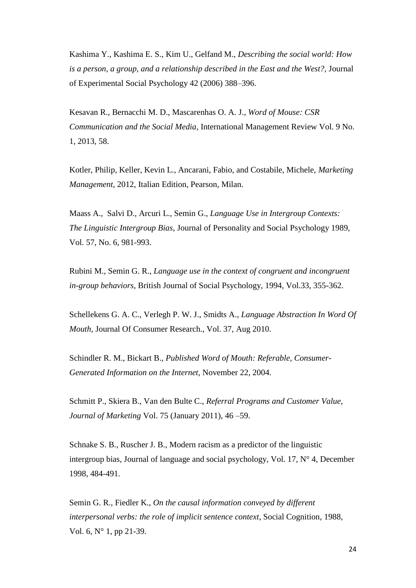Kashima Y., Kashima E. S., Kim U., Gelfand M., *Describing the social world: How is a person, a group, and a relationship described in the East and the West?,* Journal of Experimental Social Psychology 42 (2006) 388–396.

Kesavan R., Bernacchi M. D., Mascarenhas O. A. J.*, Word of Mouse: CSR Communication and the Social Media*, International Management Review Vol. 9 No. 1, 2013, 58.

Kotler, Philip, Keller, Kevin L., Ancarani, Fabio, and Costabile, Michele, *Marketing Management*, 2012, Italian Edition, Pearson, Milan.

Maass A., Salvi D., Arcuri L., Semin G., *Language Use in Intergroup Contexts: The Linguistic Intergroup Bias*, Journal of Personality and Social Psychology 1989, Vol. 57, No. 6, 981-993.

Rubini M., Semin G. R., *Language use in the context of congruent and incongruent in-group behaviors*, British Journal of Social Psychology, 1994, Vol.33, 355-362.

Schellekens G. A. C., Verlegh P. W. J., Smidts A., *Language Abstraction In Word Of Mouth,* Journal Of Consumer Research., Vol. 37, Aug 2010.

Schindler R. M., Bickart B., *Published Word of Mouth: Referable, Consumer-Generated Information on the Internet*, November 22, 2004.

Schmitt P., Skiera B., Van den Bulte C., *Referral Programs and Customer Value*, *Journal of Marketing* Vol. 75 (January 2011), 46 –59.

Schnake S. B., Ruscher J. B., Modern racism as a predictor of the linguistic intergroup bias, Journal of language and social psychology, Vol. 17,  $N^{\circ}$  4, December 1998, 484-491.

Semin G. R., Fiedler K., *On the causal information conveyed by different interpersonal verbs: the role of implicit sentence context*, Social Cognition, 1988, Vol. 6, N° 1, pp 21-39.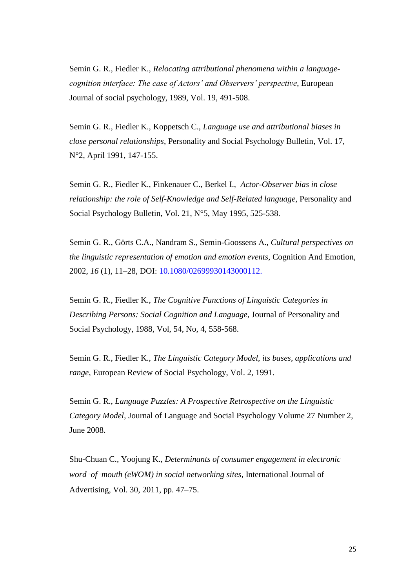Semin G. R., Fiedler K., *Relocating attributional phenomena within a languagecognition interface: The case of Actors' and Observers' perspective*, European Journal of social psychology, 1989, Vol. 19, 491-508.

Semin G. R., Fiedler K., Koppetsch C., *Language use and attributional biases in close personal relationships*, Personality and Social Psychology Bulletin, Vol. 17, N°2, April 1991, 147-155.

Semin G. R., Fiedler K., Finkenauer C., Berkel I., *Actor-Observer bias in close relationship: the role of Self-Knowledge and Self-Related language*, Personality and Social Psychology Bulletin, Vol. 21, N°5, May 1995, 525-538.

Semin G. R., Görts C.A., Nandram S., Semin-Goossens A., *Cultural perspectives on the linguistic representation of emotion and emotion events*, Cognition And Emotion, 2002, *16* (1), 11–28, DOI: 10.1080/02699930143000112.

Semin G. R., Fiedler K., *The Cognitive Functions of Linguistic Categories in Describing Persons: Social Cognition and Language,* Journal of Personality and Social Psychology, 1988, Vol, 54, No, 4, 558-568.

Semin G. R., Fiedler K., *The Linguistic Category Model, its bases, applications and range*, European Review of Social Psychology, Vol. 2, 1991.

Semin G. R., *Language Puzzles: A Prospective Retrospective on the Linguistic Category Model,* Journal of Language and Social Psychology Volume 27 Number 2, June 2008.

Shu-Chuan C., Yoojung K., *Determinants of consumer engagement in electronic word*‑*of*‑*mouth (eWOM) in social networking sites*, International Journal of Advertising, Vol. 30, 2011, pp. 47–75.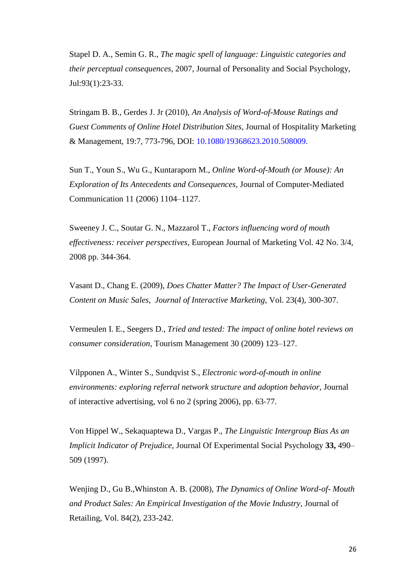Stapel D. A., Semin G. R., *The magic spell of language: Linguistic categories and their perceptual consequences*, 2007, Journal of Personality and Social Psychology, Jul:93(1):23-33.

Stringam B. B., Gerdes J. Jr (2010), *An Analysis of Word-of-Mouse Ratings and Guest Comments of Online Hotel Distribution Sites*, Journal of Hospitality Marketing & Management, 19:7, 773-796, DOI: 10.1080/19368623.2010.508009.

Sun T., Youn S., Wu G., Kuntaraporn M., *Online Word-of-Mouth (or Mouse): An Exploration of Its Antecedents and Consequences,* Journal of Computer-Mediated Communication 11 (2006) 1104–1127.

Sweeney J. C., Soutar G. N., Mazzarol T., *Factors influencing word of mouth effectiveness: receiver perspectives*, European Journal of Marketing Vol. 42 No. 3/4, 2008 pp. 344-364.

Vasant D., Chang E. (2009), *Does Chatter Matter? The Impact of User-Generated Content on Music Sales*, *Journal of Interactive Marketing*, Vol. 23(4), 300-307.

Vermeulen I. E., Seegers D., *Tried and tested: The impact of online hotel reviews on consumer consideration,* Tourism Management 30 (2009) 123–127.

Vilpponen A., Winter S., Sundqvist S., *Electronic word-of-mouth in online environments: exploring referral network structure and adoption behavior,* Journal of interactive advertising, vol 6 no 2 (spring 2006), pp. 63‐77.

Von Hippel W., Sekaquaptewa D., Vargas P., *The Linguistic Intergroup Bias As an Implicit Indicator of Prejudice,* Journal Of Experimental Social Psychology **33,** 490– 509 (1997).

Wenjing D., Gu B.,Whinston A. B. (2008), *The Dynamics of Online Word-of- Mouth and Product Sales: An Empirical Investigation of the Movie Industry*, Journal of Retailing, Vol. 84(2), 233-242.